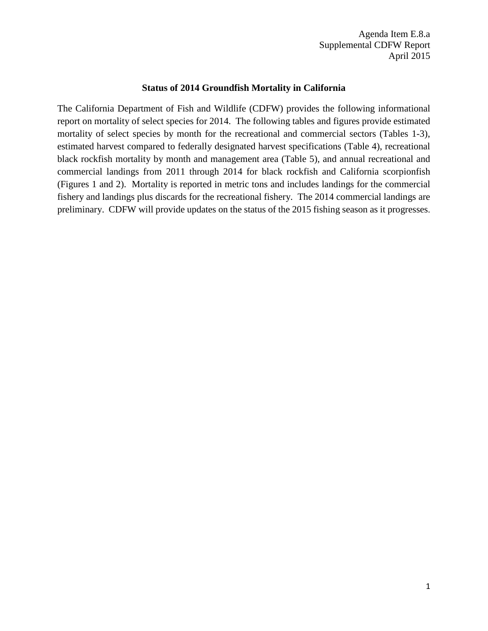Agenda Item E.8.a Supplemental CDFW Report April 2015

## **Status of 2014 Groundfish Mortality in California**

The California Department of Fish and Wildlife (CDFW) provides the following informational report on mortality of select species for 2014. The following tables and figures provide estimated mortality of select species by month for the recreational and commercial sectors (Tables 1-3), estimated harvest compared to federally designated harvest specifications (Table 4), recreational black rockfish mortality by month and management area (Table 5), and annual recreational and commercial landings from 2011 through 2014 for black rockfish and California scorpionfish (Figures 1 and 2). Mortality is reported in metric tons and includes landings for the commercial fishery and landings plus discards for the recreational fishery. The 2014 commercial landings are preliminary. CDFW will provide updates on the status of the 2015 fishing season as it progresses.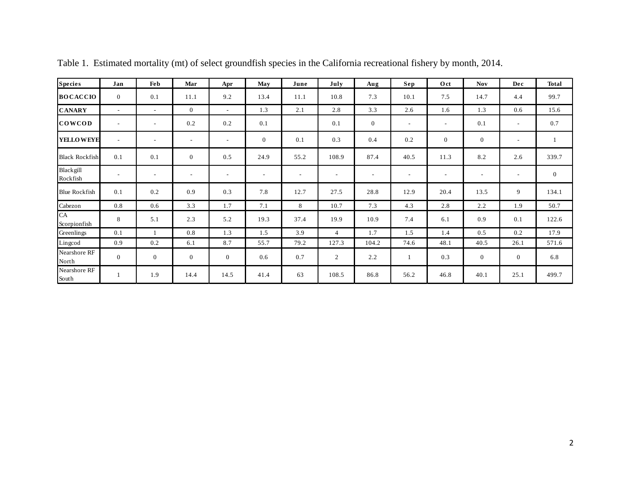| <b>Species</b>                         | Jan                      | Fe b                     | Mar                      | Apr                      | May                      | June                     | July                     | Aug                      | Sep                      | Oct                      | <b>Nov</b>               | Dec                      | <b>Total</b> |
|----------------------------------------|--------------------------|--------------------------|--------------------------|--------------------------|--------------------------|--------------------------|--------------------------|--------------------------|--------------------------|--------------------------|--------------------------|--------------------------|--------------|
| <b>BOCACCIO</b>                        | $\overline{0}$           | 0.1                      | 11.1                     | 9.2                      | 13.4                     | 11.1                     | 10.8                     | 7.3                      | 10.1                     | 7.5                      | 14.7                     | 4.4                      | 99.7         |
| <b>CANARY</b>                          | $\sim$                   | $\sim$                   | $\mathbf{0}$             | $\sim$                   | 1.3                      | 2.1                      | 2.8                      | 3.3                      | 2.6                      | 1.6                      | 1.3                      | 0.6                      | 15.6         |
| <b>COWCOD</b>                          | $\overline{\phantom{a}}$ | $\overline{\phantom{a}}$ | 0.2                      | 0.2                      | 0.1                      |                          | 0.1                      | $\mathbf{0}$             | $\overline{\phantom{a}}$ | $\overline{\phantom{a}}$ | 0.1                      | $\overline{\phantom{a}}$ | 0.7          |
| <b>YELLOWEYE</b>                       | $\sim$                   | $\overline{\phantom{a}}$ | $\overline{\phantom{a}}$ | $\sim$                   | $\mathbf{0}$             | 0.1                      | 0.3                      | 0.4                      | 0.2                      | $\mathbf{0}$             | $\mathbf{0}$             | $\overline{\phantom{a}}$ |              |
| <b>Black Rockfish</b>                  | 0.1                      | 0.1                      | $\mathbf{0}$             | 0.5                      | 24.9                     | 55.2                     | 108.9                    | 87.4                     | 40.5                     | 11.3                     | 8.2                      | 2.6                      | 339.7        |
| Blackgill<br>Rockfish                  | $\overline{\phantom{a}}$ |                          | $\overline{\phantom{a}}$ | $\overline{\phantom{a}}$ | $\overline{\phantom{a}}$ | $\overline{\phantom{a}}$ | $\overline{\phantom{a}}$ | $\overline{\phantom{a}}$ | $\overline{\phantom{a}}$ | $\overline{\phantom{a}}$ | $\overline{\phantom{a}}$ | $\overline{\phantom{a}}$ | $\mathbf{0}$ |
| <b>Blue Rockfish</b>                   | 0.1                      | 0.2                      | 0.9                      | 0.3                      | 7.8                      | 12.7                     | 27.5                     | 28.8                     | 12.9                     | 20.4                     | 13.5                     | 9                        | 134.1        |
| Cabezon                                | 0.8                      | 0.6                      | 3.3                      | 1.7                      | 7.1                      | 8                        | 10.7                     | 7.3                      | 4.3                      | 2.8                      | 2.2                      | 1.9                      | 50.7         |
| CA<br>Scorpionfish                     | 8                        | 5.1                      | 2.3                      | 5.2                      | 19.3                     | 37.4                     | 19.9                     | 10.9                     | 7.4                      | 6.1                      | 0.9                      | 0.1                      | 122.6        |
| Greenlings                             | 0.1                      |                          | 0.8                      | 1.3                      | 1.5                      | 3.9                      | $\overline{4}$           | 1.7                      | 1.5                      | 1.4                      | 0.5                      | 0.2                      | 17.9         |
| Lingcod                                | 0.9                      | 0.2                      | 6.1                      | 8.7                      | 55.7                     | 79.2                     | 127.3                    | 104.2                    | 74.6                     | 48.1                     | 40.5                     | 26.1                     | 571.6        |
| Nearshore RF<br>North                  | $\overline{0}$           | $\boldsymbol{0}$         | $\mathbf{0}$             | $\boldsymbol{0}$         | 0.6                      | 0.7                      | $\overline{c}$           | 2.2                      | 1                        | 0.3                      | $\boldsymbol{0}$         | $\overline{0}$           | 6.8          |
| Nearshore RF<br>$\operatorname{South}$ |                          | 1.9                      | 14.4                     | 14.5                     | 41.4                     | 63                       | 108.5                    | 86.8                     | 56.2                     | 46.8                     | 40.1                     | 25.1                     | 499.7        |

Table 1. Estimated mortality (mt) of select groundfish species in the California recreational fishery by month, 2014.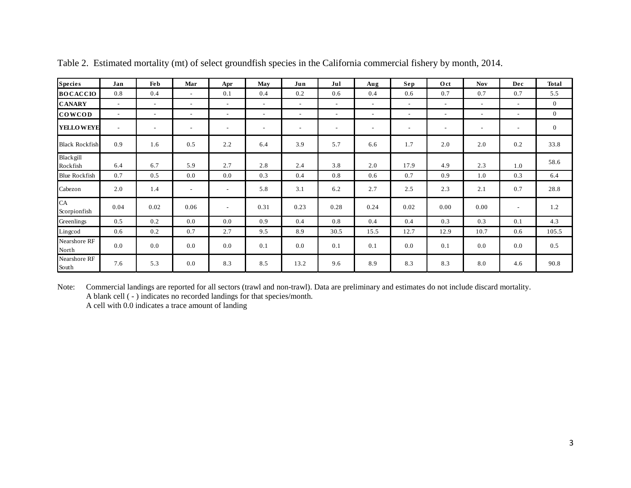| <b>Species</b>        | Jan                      | Feb                      | Mar                      | Apr                      | May                      | Jun                      | Jul                      | Aug                      | Sep                      | Oct                      | <b>Nov</b>               | Dec | <b>Total</b> |
|-----------------------|--------------------------|--------------------------|--------------------------|--------------------------|--------------------------|--------------------------|--------------------------|--------------------------|--------------------------|--------------------------|--------------------------|-----|--------------|
| <b>BOCACCIO</b>       | 0.8                      | 0.4                      | $\sim$                   | 0.1                      | 0.4                      | 0.2                      | 0.6                      | 0.4                      | 0.6                      | 0.7                      | 0.7                      | 0.7 | 5.5          |
| <b>CANARY</b>         | $\overline{\phantom{a}}$ | $\overline{\phantom{a}}$ | ٠                        | $\overline{\phantom{a}}$ | $\overline{\phantom{a}}$ | $\overline{\phantom{a}}$ | $\overline{\phantom{a}}$ | $\overline{\phantom{a}}$ | $\overline{\phantom{a}}$ | $\overline{\phantom{a}}$ | $\overline{\phantom{a}}$ |     | $\mathbf{0}$ |
| <b>COWCOD</b>         | $\overline{\phantom{a}}$ | $\overline{\phantom{a}}$ | $\overline{\phantom{a}}$ | $\overline{\phantom{a}}$ | $\overline{\phantom{a}}$ | $\overline{\phantom{a}}$ | $\overline{\phantom{a}}$ | $\overline{\phantom{a}}$ | $\overline{\phantom{a}}$ | $\overline{\phantom{a}}$ | $\overline{\phantom{a}}$ |     | $\mathbf{0}$ |
| <b>YELLOWEYE</b>      | $\overline{\phantom{a}}$ | $\overline{a}$           | $\overline{\phantom{a}}$ | $\overline{\phantom{a}}$ | $\overline{\phantom{a}}$ | $\overline{\phantom{a}}$ | $\overline{\phantom{a}}$ | $\overline{\phantom{0}}$ | $\overline{\phantom{a}}$ | $\overline{\phantom{a}}$ | $\overline{\phantom{a}}$ |     | $\mathbf{0}$ |
| <b>Black Rockfish</b> | 0.9                      | 1.6                      | 0.5                      | 2.2                      | 6.4                      | 3.9                      | 5.7                      | 6.6                      | 1.7                      | 2.0                      | 2.0                      | 0.2 | 33.8         |
| Blackgill<br>Rockfish | 6.4                      | 6.7                      | 5.9                      | 2.7                      | 2.8                      | 2.4                      | 3.8                      | 2.0                      | 17.9                     | 4.9                      | 2.3                      | 1.0 | 58.6         |
| <b>Blue Rockfish</b>  | 0.7                      | 0.5                      | 0.0                      | 0.0                      | 0.3                      | 0.4                      | 0.8                      | 0.6                      | 0.7                      | 0.9                      | 1.0                      | 0.3 | 6.4          |
| Cabezon               | 2.0                      | 1.4                      | $\overline{\phantom{a}}$ | $\overline{\phantom{a}}$ | 5.8                      | 3.1                      | 6.2                      | 2.7                      | 2.5                      | 2.3                      | 2.1                      | 0.7 | 28.8         |
| CA<br>Scorpionfish    | 0.04                     | 0.02                     | 0.06                     | $\overline{\phantom{a}}$ | 0.31                     | 0.23                     | 0.28                     | 0.24                     | 0.02                     | 0.00                     | 0.00                     |     | 1.2          |
| Greenlings            | 0.5                      | 0.2                      | 0.0                      | 0.0                      | 0.9                      | 0.4                      | 0.8                      | 0.4                      | 0.4                      | 0.3                      | 0.3                      | 0.1 | 4.3          |
| Lingcod               | 0.6                      | 0.2                      | 0.7                      | 2.7                      | 9.5                      | 8.9                      | 30.5                     | 15.5                     | 12.7                     | 12.9                     | 10.7                     | 0.6 | 105.5        |
| Nearshore RF<br>North | 0.0                      | 0.0                      | 0.0                      | 0.0                      | 0.1                      | 0.0                      | 0.1                      | 0.1                      | 0.0                      | 0.1                      | 0.0                      | 0.0 | 0.5          |
| Nearshore RF<br>South | 7.6                      | 5.3                      | 0.0                      | 8.3                      | 8.5                      | 13.2                     | 9.6                      | 8.9                      | 8.3                      | 8.3                      | 8.0                      | 4.6 | 90.8         |

Table 2. Estimated mortality (mt) of select groundfish species in the California commercial fishery by month, 2014.

Note: Commercial landings are reported for all sectors (trawl and non-trawl). Data are preliminary and estimates do not include discard mortality. A blank cell ( - ) indicates no recorded landings for that species/month. A cell with 0.0 indicates a trace amount of landing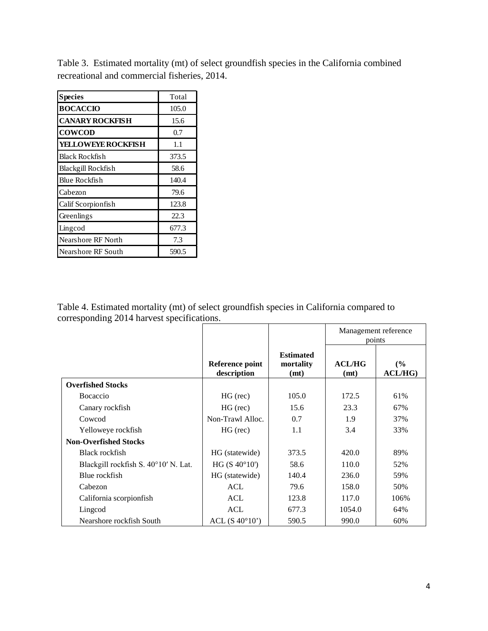Table 3. Estimated mortality (mt) of select groundfish species in the California combined recreational and commercial fisheries, 2014.

| <b>Species</b>            | Total |
|---------------------------|-------|
| <b>BOCACCIO</b>           | 105.0 |
| <b>CANARY ROCKFISH</b>    | 15.6  |
| <b>COWCOD</b>             | 0.7   |
| YELLOWEYE ROCKFISH        | 1.1   |
| Black Rockfish            | 373.5 |
| Blackgill Rockfish        | 58.6  |
| Blue Rockfish             | 140.4 |
| Cabezon                   | 79.6  |
| Calif Scorpionfish        | 123.8 |
| Greenlings                | 22.3  |
| Lingcod                   | 677.3 |
| <b>Nearshore RF North</b> | 7.3   |
| <b>Nearshore RF South</b> | 590.5 |

Table 4. Estimated mortality (mt) of select groundfish species in California compared to corresponding 2014 harvest specifications.

|                                      |                                |                                       | Management reference<br>points |               |  |  |
|--------------------------------------|--------------------------------|---------------------------------------|--------------------------------|---------------|--|--|
|                                      | Reference point<br>description | <b>Estimated</b><br>mortality<br>(mt) | ACL/HG<br>(mt)                 | (%)<br>ACL/HG |  |  |
| <b>Overfished Stocks</b>             |                                |                                       |                                |               |  |  |
| Bocaccio                             | $HG$ (rec)                     | 105.0                                 | 172.5                          | 61%           |  |  |
| Canary rockfish                      | $HG$ (rec)                     | 15.6                                  | 23.3                           | 67%           |  |  |
| Cowcod                               | Non-Trawl Alloc.               | 0.7                                   | 1.9                            | 37%           |  |  |
| Yelloweye rockfish                   | $HG$ (rec)                     | 1.1                                   | 3.4                            | 33%           |  |  |
| <b>Non-Overfished Stocks</b>         |                                |                                       |                                |               |  |  |
| Black rockfish                       | HG (statewide)                 | 373.5                                 | 420.0                          | 89%           |  |  |
| Blackgill rockfish S. 40°10' N. Lat. | HG(S 40°10')                   | 58.6                                  | 110.0                          | 52%           |  |  |
| Blue rockfish                        | HG (statewide)                 | 140.4                                 | 236.0                          | 59%           |  |  |
| Cabezon                              | ACL                            | 79.6                                  | 158.0                          | 50%           |  |  |
| California scorpionfish              | <b>ACL</b>                     | 123.8                                 | 117.0                          | 106%          |  |  |
| Lingcod                              | ACL                            | 677.3                                 | 1054.0                         | 64%           |  |  |
| Nearshore rockfish South             | ACL $(S 40°10'')$              | 590.5                                 | 990.0                          | 60%           |  |  |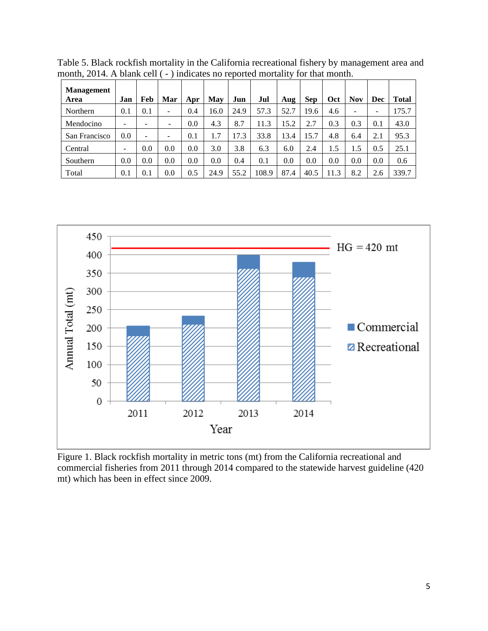| <b>Management</b><br>Area | Jan | Feb | Mar             | Apr | May  | Jun  | Jul   | Aug  | <b>Sep</b> | Oct  | Nov | Dec | <b>Total</b> |
|---------------------------|-----|-----|-----------------|-----|------|------|-------|------|------------|------|-----|-----|--------------|
| Northern                  | 0.1 | 0.1 | -               | 0.4 | 16.0 | 24.9 | 57.3  | 52.7 | 19.6       | 4.6  | -   | -   | 175.7        |
| Mendocino                 | -   | -   |                 | 0.0 | 4.3  | 8.7  | 11.3  | 15.2 | 2.7        | 0.3  | 0.3 | 0.1 | 43.0         |
| San Francisco             | 0.0 | -   | $\qquad \qquad$ | 0.1 |      | 17.3 | 33.8  | 13.4 | 15.7       | 4.8  | 6.4 | 2.1 | 95.3         |
| Central                   | -   | 0.0 | 0.0             | 0.0 | 3.0  | 3.8  | 6.3   | 6.0  | 2.4        | 1.5  | 1.5 | 0.5 | 25.1         |
| Southern                  | 0.0 | 0.0 | 0.0             | 0.0 | 0.0  | 0.4  | 0.1   | 0.0  | 0.0        | 0.0  | 0.0 | 0.0 | 0.6          |
| Total                     | 0.1 | 0.1 | 0.0             | 0.5 | 24.9 | 55.2 | 108.9 | 87.4 | 40.5       | 11.3 | 8.2 | 2.6 | 339.7        |

Table 5. Black rockfish mortality in the California recreational fishery by management area and month, 2014. A blank cell ( - ) indicates no reported mortality for that month.



Figure 1. Black rockfish mortality in metric tons (mt) from the California recreational and commercial fisheries from 2011 through 2014 compared to the statewide harvest guideline (420 mt) which has been in effect since 2009.